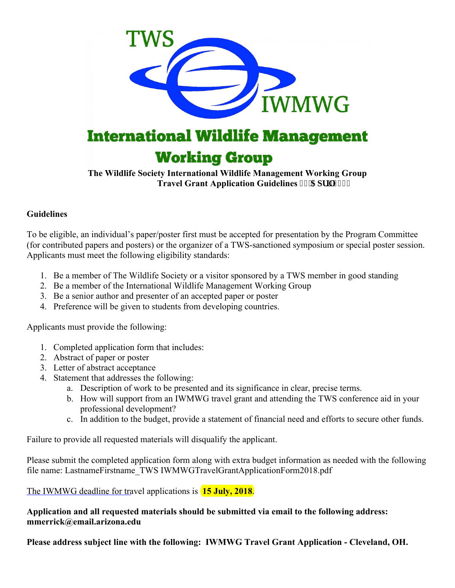

**The Wildlife Society International Wildlife Management Working Group Travel Grant Application Guidelines 32'Crt ki423:** 

## **Guidelines**

To be eligible, an individual's paper/poster first must be accepted for presentation by the Program Committee (for contributed papers and posters) or the organizer of a TWS-sanctioned symposium or special poster session. Applicants must meet the following eligibility standards:

- 1. Be a member of The Wildlife Society or a visitor sponsored by a TWS member in good standing
- 2. Be a member of the International Wildlife Management Working Group
- 3. Be a senior author and presenter of an accepted paper or poster
- 4. Preference will be given to students from developing countries.

Applicants must provide the following:

- 1. Completed application form that includes:
- 2. Abstract of paper or poster
- 3. Letter of abstract acceptance
- 4. Statement that addresses the following:
	- a. Description of work to be presented and its significance in clear, precise terms.
	- b. How will support from an IWMWG travel grant and attending the TWS conference aid in your professional development?
	- c. In addition to the budget, provide a statement of financial need and efforts to secure other funds.

Failure to provide all requested materials will disqualify the applicant.

Please submit the completed application form along with extra budget information as needed with the following file name: LastnameFirstname\_TWS IWMWGTravelGrantApplicationForm2018.pdf

The IWMWG deadline for travel applications is **15 July, 2018**.

**Application and all requested materials should be submitted via email to the following address: mmerrick@email.arizona.edu**

**Please address subject line with the following: IWMWG Travel Grant Application - Cleveland, OH.**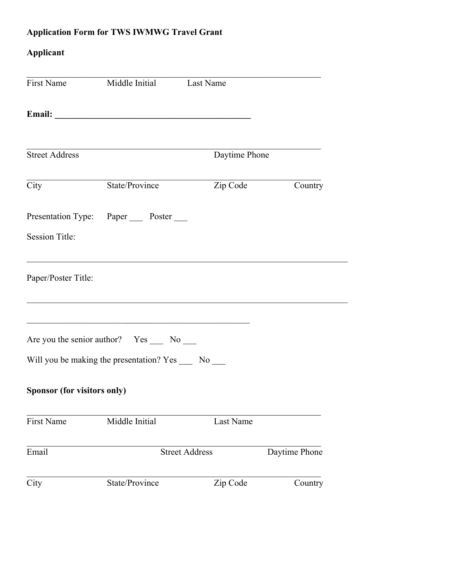## **Application Form for TWS IWMWG Travel Grant**

## **Applicant**

| First Name                  | Middle Initial Last Name                                 |                       |               |  |
|-----------------------------|----------------------------------------------------------|-----------------------|---------------|--|
|                             |                                                          |                       |               |  |
|                             |                                                          |                       |               |  |
| <b>Street Address</b>       |                                                          | Daytime Phone         |               |  |
| City                        | State/Province                                           | Zip Code              | Country       |  |
|                             | Presentation Type: Paper _____ Poster _____              |                       |               |  |
| <b>Session Title:</b>       |                                                          |                       |               |  |
| Paper/Poster Title:         |                                                          |                       |               |  |
|                             | Are you the senior author? Yes ______ No _____           |                       |               |  |
|                             | Will you be making the presentation? Yes ______ No _____ |                       |               |  |
| Sponsor (for visitors only) |                                                          |                       |               |  |
| <b>First Name</b>           | Middle Initial                                           | Last Name             |               |  |
| Email                       |                                                          | <b>Street Address</b> | Daytime Phone |  |
| City                        | State/Province                                           | Zip Code              | Country       |  |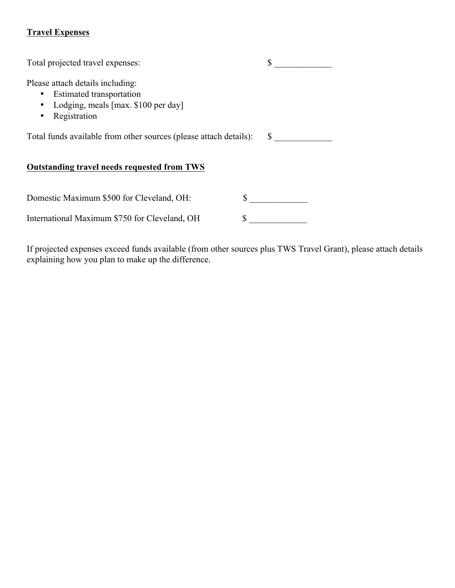## **Travel Expenses**

| Total projected travel expenses:                                                                                    |    |  |  |  |
|---------------------------------------------------------------------------------------------------------------------|----|--|--|--|
| Please attach details including:<br>Estimated transportation<br>Lodging, meals [max. \$100 per day]<br>Registration |    |  |  |  |
| Total funds available from other sources (please attach details):                                                   | S. |  |  |  |
| Outstanding travel needs requested from TWS                                                                         |    |  |  |  |
| Domestic Maximum \$500 for Cleveland, OH:                                                                           |    |  |  |  |
| International Maximum \$750 for Cleveland, OH                                                                       |    |  |  |  |

If projected expenses exceed funds available (from other sources plus TWS Travel Grant), please attach details explaining how you plan to make up the difference.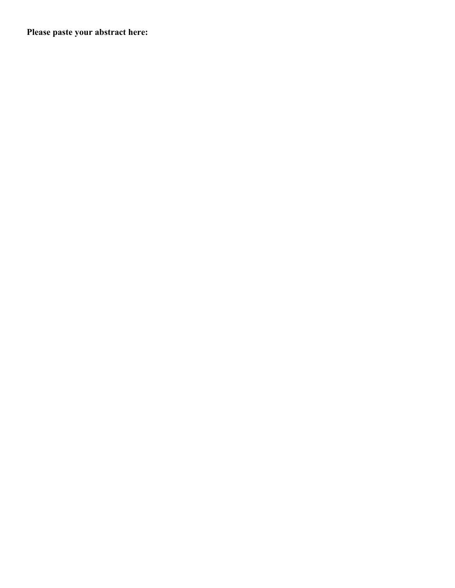**Please paste your abstract here:**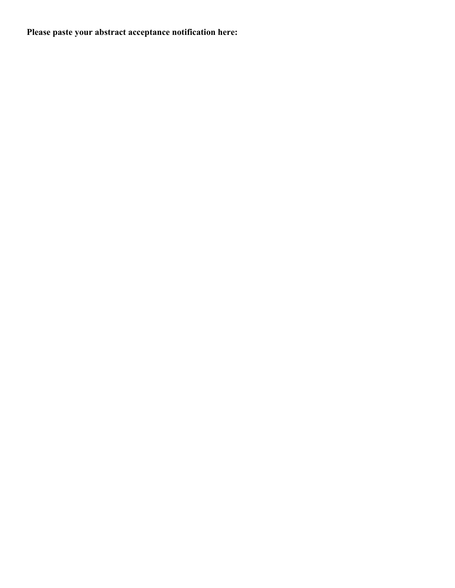**Please paste your abstract acceptance notification here:**